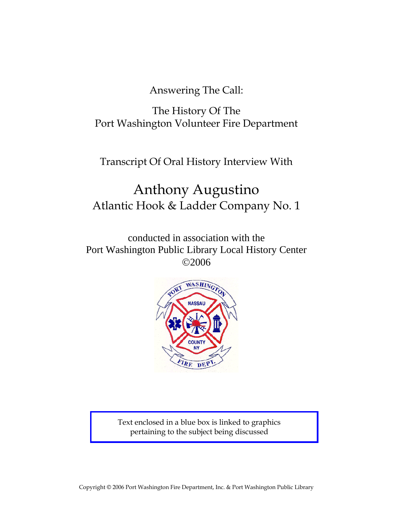Answering The Call:

The History Of The Port Washington Volunteer Fire Department

Transcript Of Oral History Interview With

# Anthony Augustino Atlantic Hook & Ladder Company No. 1

conducted in association with the Port Washington Public Library Local History Center ©2006



Text enclosed in a blue box is linked to graphics pertaining to the subject being discussed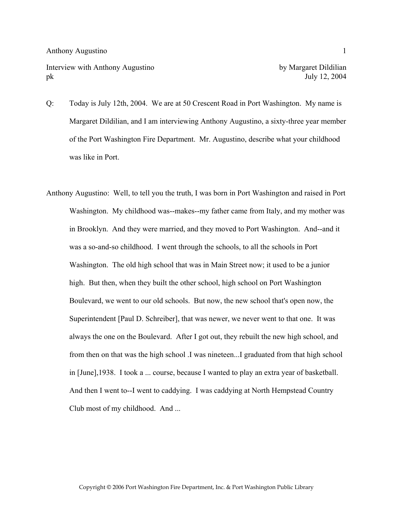Interview with Anthony Augustino by Margaret Dildilian pk July 12, 2004

- Q: Today is July 12th, 2004. We are at 50 Crescent Road in Port Washington. My name is Margaret Dildilian, and I am interviewing Anthony Augustino, a sixty-three year member of the Port Washington Fire Department. Mr. Augustino, describe what your childhood was like in Port.
- Anthony Augustino: Well, to tell you the truth, I was born in Port Washington and raised in Port Washington. My childhood was--makes--my father came from Italy, and my mother was in Brooklyn. And they were married, and they moved to Port Washington. And--and it was a so-and-so childhood. I went through the schools, to all the schools in Port Washington. The old high school that was in Main Street now; it used to be a junior high. But then, when they built the other school, high school on Port Washington Boulevard, we went to our old schools. But now, the new school that's open now, the Superintendent [Paul D. Schreiber], that was newer, we never went to that one. It was always the one on the Boulevard. After I got out, they rebuilt the new high school, and from then on that was the high school .I was nineteen...I graduated from that high school in [June],1938. I took a ... course, because I wanted to play an extra year of basketball. And then I went to--I went to caddying. I was caddying at North Hempstead Country Club most of my childhood. And ...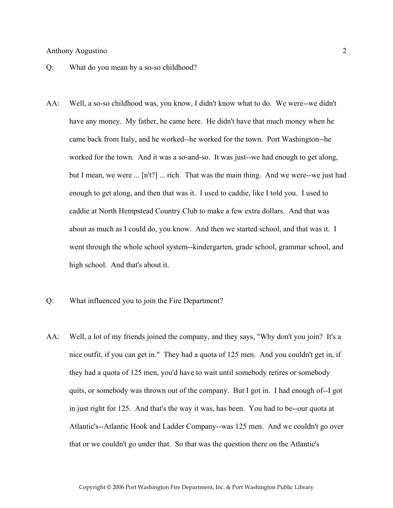- Q: What do you mean by a so-so childhood?
- AA: Well, a so-so childhood was, you know, I didn't know what to do. We were--we didn't have any money. My father, he came here. He didn't have that much money when he came back from Italy, and he worked--he worked for the town. Port Washington--he worked for the town. And it was a so-and-so. It was just--we had enough to get along, but I mean, we were ... [n't?] ... rich. That was the main thing. And we were--we just had enough to get along, and then that was it. I used to caddie, like I told you. I used to caddie at North Hempstead Country Club to make a few extra dollars. And that was about as much as I could do, you know. And then we started school, and that was it. I went through the whole school system--kindergarten, grade school, grammar school, and high school. And that's about it.
- Q: What influenced you to join the Fire Department?
- AA: Well, a lot of my friends joined the company, and they says, "Why don't you join? It's a nice outfit, if you can get in." They had a quota of 125 men. And you couldn't get in, if they had a quota of 125 men, you'd have to wait until somebody retires or somebody quits, or somebody was thrown out of the company. But I got in. I had enough of--I got in just right for 125. And that's the way it was, has been. You had to be--our quota at Atlantic's--Atlantic Hook and Ladder Company--was 125 men. And we couldn't go over that or we couldn't go under that. So that was the question there on the Atlantic's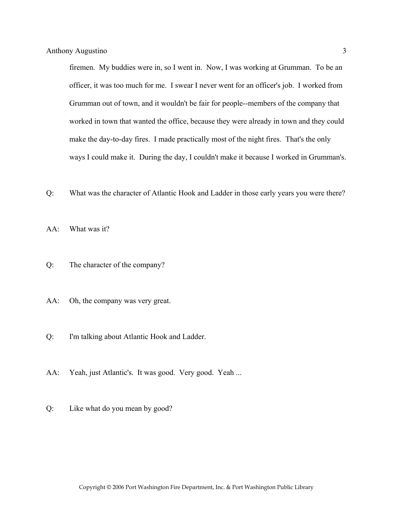firemen. My buddies were in, so I went in. Now, I was working at Grumman. To be an officer, it was too much for me. I swear I never went for an officer's job. I worked from Grumman out of town, and it wouldn't be fair for people--members of the company that worked in town that wanted the office, because they were already in town and they could make the day-to-day fires. I made practically most of the night fires. That's the only ways I could make it. During the day, I couldn't make it because I worked in Grumman's.

- Q: What was the character of Atlantic Hook and Ladder in those early years you were there?
- AA: What was it?
- Q: The character of the company?
- AA: Oh, the company was very great.
- Q: I'm talking about Atlantic Hook and Ladder.
- AA: Yeah, just Atlantic's. It was good. Very good. Yeah ...
- Q: Like what do you mean by good?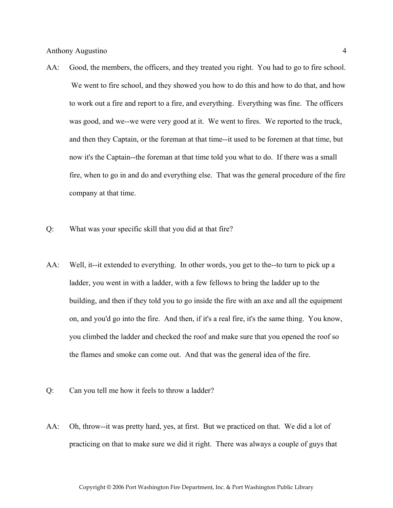- AA: Good, the members, the officers, and they treated you right. You had to go to fire school. We went to fire school, and they showed you how to do this and how to do that, and how to work out a fire and report to a fire, and everything. Everything was fine. The officers was good, and we--we were very good at it. We went to fires. We reported to the truck, and then they Captain, or the foreman at that time--it used to be foremen at that time, but now it's the Captain--the foreman at that time told you what to do. If there was a small fire, when to go in and do and everything else. That was the general procedure of the fire company at that time.
- Q: What was your specific skill that you did at that fire?
- AA: Well, it--it extended to everything. In other words, you get to the--to turn to pick up a ladder, you went in with a ladder, with a few fellows to bring the ladder up to the building, and then if they told you to go inside the fire with an axe and all the equipment on, and you'd go into the fire. And then, if it's a real fire, it's the same thing. You know, you climbed the ladder and checked the roof and make sure that you opened the roof so the flames and smoke can come out. And that was the general idea of the fire.
- Q: Can you tell me how it feels to throw a ladder?
- AA: Oh, throw--it was pretty hard, yes, at first. But we practiced on that. We did a lot of practicing on that to make sure we did it right. There was always a couple of guys that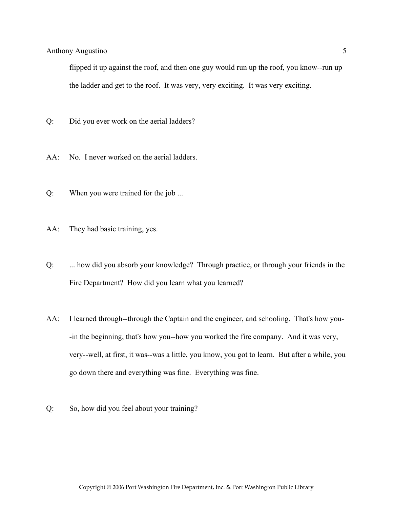flipped it up against the roof, and then one guy would run up the roof, you know--run up the ladder and get to the roof. It was very, very exciting. It was very exciting.

- Q: Did you ever work on the aerial ladders?
- AA: No. I never worked on the aerial ladders.
- Q: When you were trained for the job ...
- AA: They had basic training, yes.
- Q: ... how did you absorb your knowledge? Through practice, or through your friends in the Fire Department? How did you learn what you learned?
- AA: I learned through--through the Captain and the engineer, and schooling. That's how you- -in the beginning, that's how you--how you worked the fire company. And it was very, very--well, at first, it was--was a little, you know, you got to learn. But after a while, you go down there and everything was fine. Everything was fine.
- Q: So, how did you feel about your training?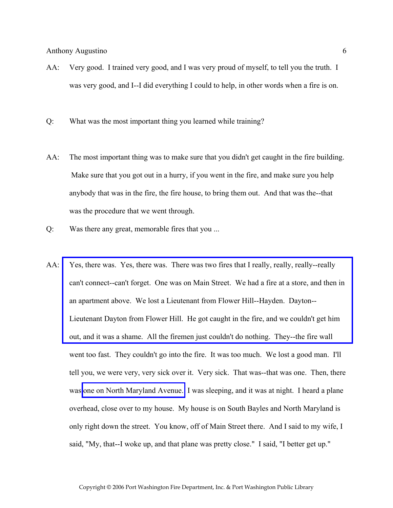- AA: Very good. I trained very good, and I was very proud of myself, to tell you the truth. I was very good, and I--I did everything I could to help, in other words when a fire is on.
- Q: What was the most important thing you learned while training?
- AA: The most important thing was to make sure that you didn't get caught in the fire building. Make sure that you got out in a hurry, if you went in the fire, and make sure you help anybody that was in the fire, the fire house, to bring them out. And that was the--that was the procedure that we went through.
- Q: Was there any great, memorable fires that you ...
- AA: Yes, there was. Yes, there was. There was two fires that I really, really, really-really [can't connect--can't forget. One was on Main Street. We had a fire at a store, and then in](http://www.pwfdhistory.com/trans/augustino_trans/nday881127.pdf)  an apartment above. We lost a Lieutenant from Flower Hill--Hayden. Dayton-- Lieutenant Dayton from Flower Hill. He got caught in the fire, and we couldn't get him out, and it was a shame. All the firemen just couldn't do nothing. They--the fire wall went too fast. They couldn't go into the fire. It was too much. We lost a good man. I'll tell you, we were very, very sick over it. Very sick. That was--that was one. Then, there was [one on North Maryland Avenue.](http://www.pwfdhistory.com/trans/augustino_trans/peco_fires023_web.jpg) I was sleeping, and it was at night. I heard a plane overhead, close over to my house. My house is on South Bayles and North Maryland is only right down the street. You know, off of Main Street there. And I said to my wife, I said, "My, that--I woke up, and that plane was pretty close." I said, "I better get up."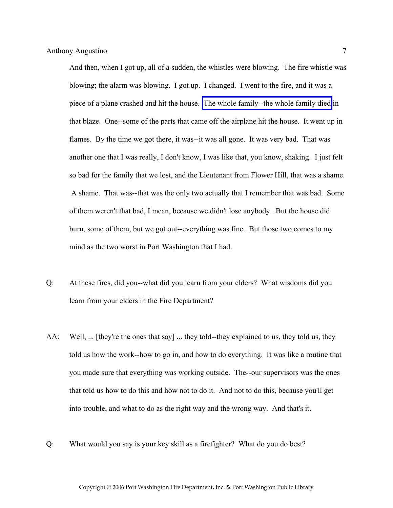And then, when I got up, all of a sudden, the whistles were blowing. The fire whistle was blowing; the alarm was blowing. I got up. I changed. I went to the fire, and it was a piece of a plane crashed and hit the house. [The whole family--the whole family died](http://www.pwfdhistory.com/trans/augustino_trans/pwfd_news041.pdf) in that blaze. One--some of the parts that came off the airplane hit the house. It went up in flames. By the time we got there, it was--it was all gone. It was very bad. That was another one that I was really, I don't know, I was like that, you know, shaking. I just felt so bad for the family that we lost, and the Lieutenant from Flower Hill, that was a shame. A shame. That was--that was the only two actually that I remember that was bad. Some of them weren't that bad, I mean, because we didn't lose anybody. But the house did burn, some of them, but we got out--everything was fine. But those two comes to my mind as the two worst in Port Washington that I had.

- Q: At these fires, did you--what did you learn from your elders? What wisdoms did you learn from your elders in the Fire Department?
- AA: Well, ... [they're the ones that say] ... they told--they explained to us, they told us, they told us how the work--how to go in, and how to do everything. It was like a routine that you made sure that everything was working outside. The--our supervisors was the ones that told us how to do this and how not to do it. And not to do this, because you'll get into trouble, and what to do as the right way and the wrong way. And that's it.
- Q: What would you say is your key skill as a firefighter? What do you do best?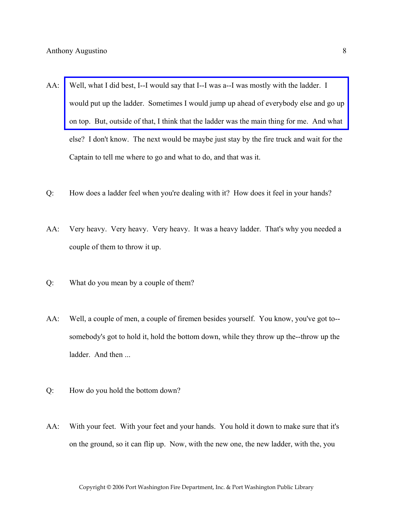- AA: Well, what I did best, I--I would say that I--I was a--I was mostly with the ladder. I [would put up the ladder. Sometimes I would jump up ahead of everybody else and go up](http://www.pwfdhistory.com/trans/augustino_trans/peco_fires010_web.jpg)  on top. But, outside of that, I think that the ladder was the main thing for me. And what else? I don't know. The next would be maybe just stay by the fire truck and wait for the Captain to tell me where to go and what to do, and that was it.
- Q: How does a ladder feel when you're dealing with it? How does it feel in your hands?
- AA: Very heavy. Very heavy. Very heavy. It was a heavy ladder. That's why you needed a couple of them to throw it up.
- Q: What do you mean by a couple of them?
- AA: Well, a couple of men, a couple of firemen besides yourself. You know, you've got to- somebody's got to hold it, hold the bottom down, while they throw up the--throw up the ladder. And then ...
- Q: How do you hold the bottom down?
- AA: With your feet. With your feet and your hands. You hold it down to make sure that it's on the ground, so it can flip up. Now, with the new one, the new ladder, with the, you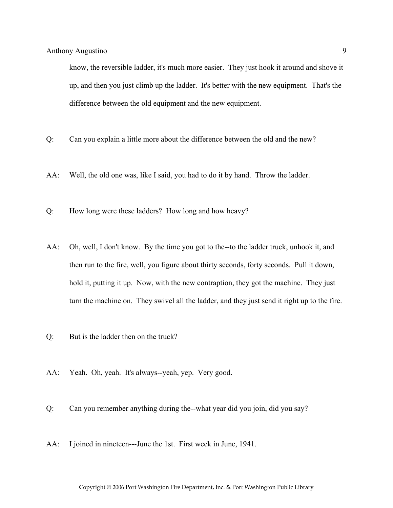know, the reversible ladder, it's much more easier. They just hook it around and shove it up, and then you just climb up the ladder. It's better with the new equipment. That's the difference between the old equipment and the new equipment.

- Q: Can you explain a little more about the difference between the old and the new?
- AA: Well, the old one was, like I said, you had to do it by hand. Throw the ladder.
- Q: How long were these ladders? How long and how heavy?
- AA: Oh, well, I don't know. By the time you got to the--to the ladder truck, unhook it, and then run to the fire, well, you figure about thirty seconds, forty seconds. Pull it down, hold it, putting it up. Now, with the new contraption, they got the machine. They just turn the machine on. They swivel all the ladder, and they just send it right up to the fire.
- Q: But is the ladder then on the truck?
- AA: Yeah. Oh, yeah. It's always--yeah, yep. Very good.
- Q: Can you remember anything during the--what year did you join, did you say?
- AA: I joined in nineteen---June the 1st. First week in June, 1941.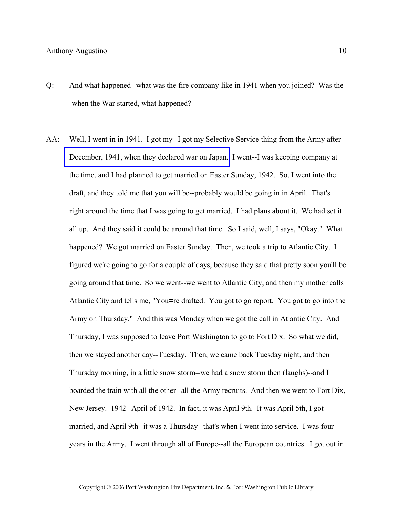- Q: And what happened--what was the fire company like in 1941 when you joined? Was the- -when the War started, what happened?
- AA: Well, I went in in 1941. I got my--I got my Selective Service thing from the Army after [December, 1941, when they declared war on Japan.](http://www.pwfdhistory.com/trans/augustino_trans/news_hewitt_1941-43_web.jpg) I went--I was keeping company at the time, and I had planned to get married on Easter Sunday, 1942. So, I went into the draft, and they told me that you will be--probably would be going in in April. That's right around the time that I was going to get married. I had plans about it. We had set it all up. And they said it could be around that time. So I said, well, I says, "Okay." What happened? We got married on Easter Sunday. Then, we took a trip to Atlantic City. I figured we're going to go for a couple of days, because they said that pretty soon you'll be going around that time. So we went--we went to Atlantic City, and then my mother calls Atlantic City and tells me, "You=re drafted. You got to go report. You got to go into the Army on Thursday." And this was Monday when we got the call in Atlantic City. And Thursday, I was supposed to leave Port Washington to go to Fort Dix. So what we did, then we stayed another day--Tuesday. Then, we came back Tuesday night, and then Thursday morning, in a little snow storm--we had a snow storm then (laughs)--and I boarded the train with all the other--all the Army recruits. And then we went to Fort Dix, New Jersey. 1942--April of 1942. In fact, it was April 9th. It was April 5th, I got married, and April 9th--it was a Thursday--that's when I went into service. I was four years in the Army. I went through all of Europe--all the European countries. I got out in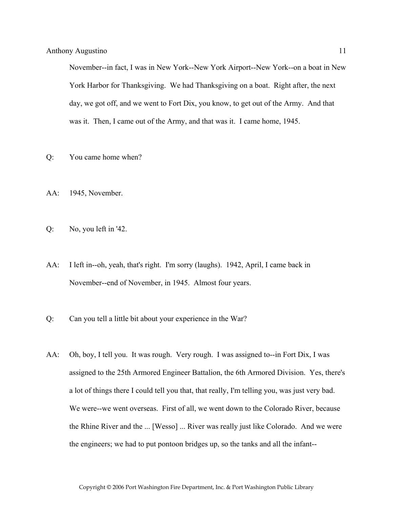November--in fact, I was in New York--New York Airport--New York--on a boat in New York Harbor for Thanksgiving. We had Thanksgiving on a boat. Right after, the next day, we got off, and we went to Fort Dix, you know, to get out of the Army. And that was it. Then, I came out of the Army, and that was it. I came home, 1945.

- Q: You came home when?
- AA: 1945, November.
- Q: No, you left in '42.
- AA: I left in--oh, yeah, that's right. I'm sorry (laughs). 1942, April, I came back in November--end of November, in 1945. Almost four years.
- Q: Can you tell a little bit about your experience in the War?
- AA: Oh, boy, I tell you. It was rough. Very rough. I was assigned to--in Fort Dix, I was assigned to the 25th Armored Engineer Battalion, the 6th Armored Division. Yes, there's a lot of things there I could tell you that, that really, I'm telling you, was just very bad. We were--we went overseas. First of all, we went down to the Colorado River, because the Rhine River and the ... [Wesso] ... River was really just like Colorado. And we were the engineers; we had to put pontoon bridges up, so the tanks and all the infant--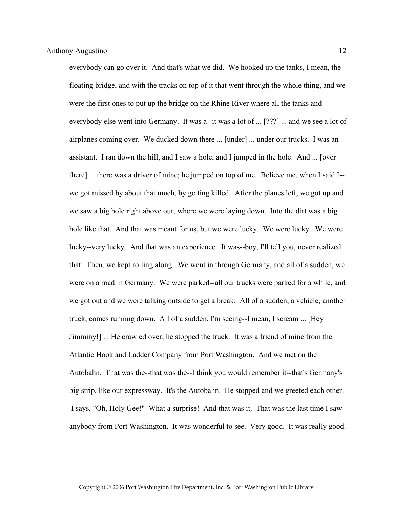everybody can go over it. And that's what we did. We hooked up the tanks, I mean, the floating bridge, and with the tracks on top of it that went through the whole thing, and we were the first ones to put up the bridge on the Rhine River where all the tanks and everybody else went into Germany. It was a--it was a lot of ... [???] ... and we see a lot of airplanes coming over. We ducked down there ... [under] ... under our trucks. I was an assistant. I ran down the hill, and I saw a hole, and I jumped in the hole. And ... [over there] ... there was a driver of mine; he jumped on top of me. Believe me, when I said I- we got missed by about that much, by getting killed. After the planes left, we got up and we saw a big hole right above our, where we were laying down. Into the dirt was a big hole like that. And that was meant for us, but we were lucky. We were lucky. We were lucky--very lucky. And that was an experience. It was--boy, I'll tell you, never realized that. Then, we kept rolling along. We went in through Germany, and all of a sudden, we were on a road in Germany. We were parked--all our trucks were parked for a while, and we got out and we were talking outside to get a break. All of a sudden, a vehicle, another truck, comes running down. All of a sudden, I'm seeing--I mean, I scream ... [Hey Jimminy!] ... He crawled over; he stopped the truck. It was a friend of mine from the Atlantic Hook and Ladder Company from Port Washington. And we met on the Autobahn. That was the--that was the--I think you would remember it--that's Germany's big strip, like our expressway. It's the Autobahn. He stopped and we greeted each other. I says, "Oh, Holy Gee!" What a surprise! And that was it. That was the last time I saw anybody from Port Washington. It was wonderful to see. Very good. It was really good.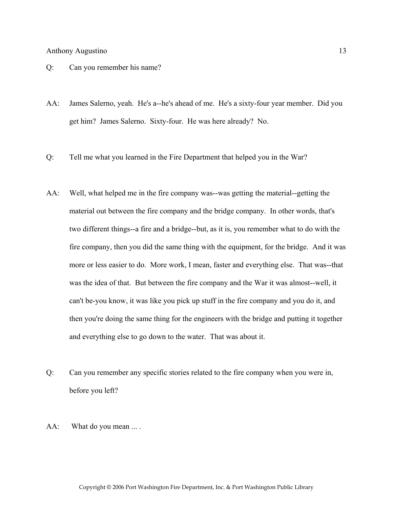- Q: Can you remember his name?
- AA: James Salerno, yeah. He's a--he's ahead of me. He's a sixty-four year member. Did you get him? James Salerno. Sixty-four. He was here already? No.
- Q: Tell me what you learned in the Fire Department that helped you in the War?
- AA: Well, what helped me in the fire company was--was getting the material--getting the material out between the fire company and the bridge company. In other words, that's two different things--a fire and a bridge--but, as it is, you remember what to do with the fire company, then you did the same thing with the equipment, for the bridge. And it was more or less easier to do. More work, I mean, faster and everything else. That was--that was the idea of that. But between the fire company and the War it was almost--well, it can't be-you know, it was like you pick up stuff in the fire company and you do it, and then you're doing the same thing for the engineers with the bridge and putting it together and everything else to go down to the water. That was about it.
- Q: Can you remember any specific stories related to the fire company when you were in, before you left?
- AA: What do you mean ... .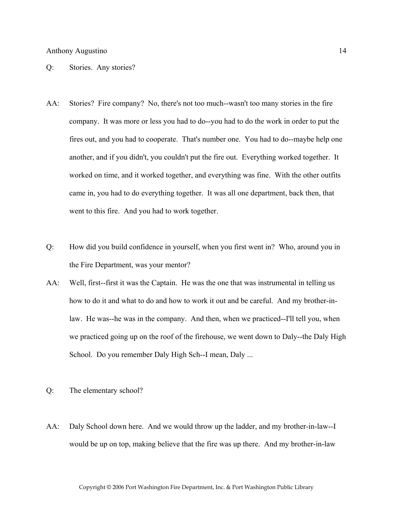Q: Stories. Any stories?

- AA: Stories? Fire company? No, there's not too much--wasn't too many stories in the fire company. It was more or less you had to do--you had to do the work in order to put the fires out, and you had to cooperate. That's number one. You had to do--maybe help one another, and if you didn't, you couldn't put the fire out. Everything worked together. It worked on time, and it worked together, and everything was fine. With the other outfits came in, you had to do everything together. It was all one department, back then, that went to this fire. And you had to work together.
- Q: How did you build confidence in yourself, when you first went in? Who, around you in the Fire Department, was your mentor?
- AA: Well, first--first it was the Captain. He was the one that was instrumental in telling us how to do it and what to do and how to work it out and be careful. And my brother-inlaw. He was--he was in the company. And then, when we practiced--I'll tell you, when we practiced going up on the roof of the firehouse, we went down to Daly--the Daly High School. Do you remember Daly High Sch--I mean, Daly ...
- Q: The elementary school?
- AA: Daly School down here. And we would throw up the ladder, and my brother-in-law--I would be up on top, making believe that the fire was up there. And my brother-in-law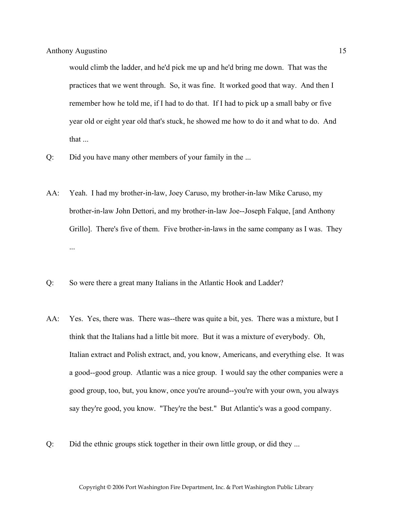would climb the ladder, and he'd pick me up and he'd bring me down. That was the practices that we went through. So, it was fine. It worked good that way. And then I remember how he told me, if I had to do that. If I had to pick up a small baby or five year old or eight year old that's stuck, he showed me how to do it and what to do. And that ...

- Q: Did you have many other members of your family in the ...
- AA: Yeah. I had my brother-in-law, Joey Caruso, my brother-in-law Mike Caruso, my brother-in-law John Dettori, and my brother-in-law Joe--Joseph Falque, [and Anthony Grillo]. There's five of them. Five brother-in-laws in the same company as I was. They ...
- Q: So were there a great many Italians in the Atlantic Hook and Ladder?
- AA: Yes. Yes, there was. There was--there was quite a bit, yes. There was a mixture, but I think that the Italians had a little bit more. But it was a mixture of everybody. Oh, Italian extract and Polish extract, and, you know, Americans, and everything else. It was a good--good group. Atlantic was a nice group. I would say the other companies were a good group, too, but, you know, once you're around--you're with your own, you always say they're good, you know. "They're the best." But Atlantic's was a good company.
- Q: Did the ethnic groups stick together in their own little group, or did they ...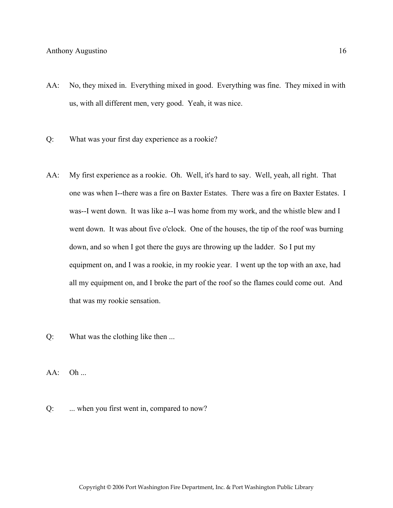- AA: No, they mixed in. Everything mixed in good. Everything was fine. They mixed in with us, with all different men, very good. Yeah, it was nice.
- Q: What was your first day experience as a rookie?
- AA: My first experience as a rookie. Oh. Well, it's hard to say. Well, yeah, all right. That one was when I--there was a fire on Baxter Estates. There was a fire on Baxter Estates. I was--I went down. It was like a--I was home from my work, and the whistle blew and I went down. It was about five o'clock. One of the houses, the tip of the roof was burning down, and so when I got there the guys are throwing up the ladder. So I put my equipment on, and I was a rookie, in my rookie year. I went up the top with an axe, had all my equipment on, and I broke the part of the roof so the flames could come out. And that was my rookie sensation.
- Q: What was the clothing like then ...
- $AA:$  Oh ...
- Q: ... when you first went in, compared to now?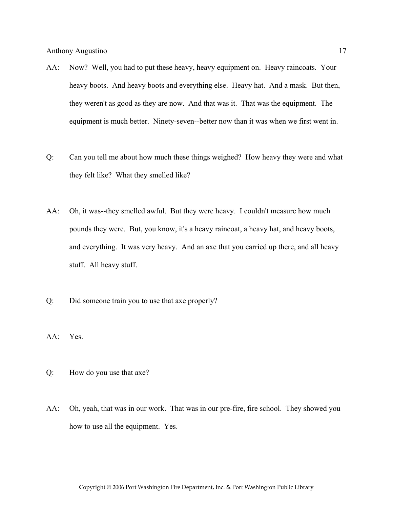- AA: Now? Well, you had to put these heavy, heavy equipment on. Heavy raincoats. Your heavy boots. And heavy boots and everything else. Heavy hat. And a mask. But then, they weren't as good as they are now. And that was it. That was the equipment. The equipment is much better. Ninety-seven--better now than it was when we first went in.
- Q: Can you tell me about how much these things weighed? How heavy they were and what they felt like? What they smelled like?
- AA: Oh, it was--they smelled awful. But they were heavy. I couldn't measure how much pounds they were. But, you know, it's a heavy raincoat, a heavy hat, and heavy boots, and everything. It was very heavy. And an axe that you carried up there, and all heavy stuff. All heavy stuff.
- Q: Did someone train you to use that axe properly?
- AA: Yes.
- Q: How do you use that axe?
- AA: Oh, yeah, that was in our work. That was in our pre-fire, fire school. They showed you how to use all the equipment. Yes.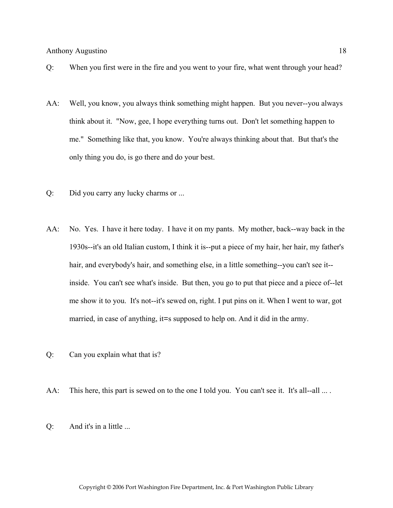- Q: When you first were in the fire and you went to your fire, what went through your head?
- AA: Well, you know, you always think something might happen. But you never--you always think about it. "Now, gee, I hope everything turns out. Don't let something happen to me." Something like that, you know. You're always thinking about that. But that's the only thing you do, is go there and do your best.
- Q: Did you carry any lucky charms or ...
- AA: No. Yes. I have it here today. I have it on my pants. My mother, back--way back in the 1930s--it's an old Italian custom, I think it is--put a piece of my hair, her hair, my father's hair, and everybody's hair, and something else, in a little something--you can't see it- inside. You can't see what's inside. But then, you go to put that piece and a piece of--let me show it to you. It's not--it's sewed on, right. I put pins on it. When I went to war, got married, in case of anything, it=s supposed to help on. And it did in the army.
- Q: Can you explain what that is?
- AA: This here, this part is sewed on to the one I told you. You can't see it. It's all--all ....
- Q: And it's in a little ...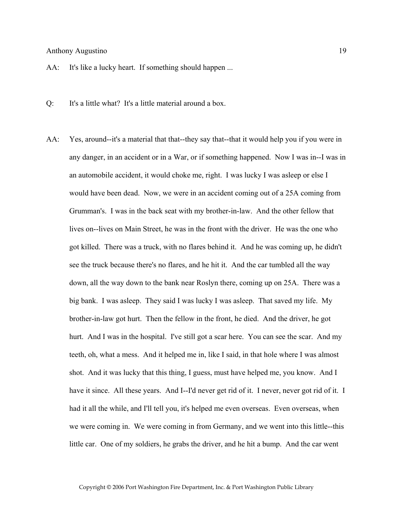AA: It's like a lucky heart. If something should happen ...

- Q: It's a little what? It's a little material around a box.
- AA: Yes, around--it's a material that that--they say that--that it would help you if you were in any danger, in an accident or in a War, or if something happened. Now I was in--I was in an automobile accident, it would choke me, right. I was lucky I was asleep or else I would have been dead. Now, we were in an accident coming out of a 25A coming from Grumman's. I was in the back seat with my brother-in-law. And the other fellow that lives on--lives on Main Street, he was in the front with the driver. He was the one who got killed. There was a truck, with no flares behind it. And he was coming up, he didn't see the truck because there's no flares, and he hit it. And the car tumbled all the way down, all the way down to the bank near Roslyn there, coming up on 25A. There was a big bank. I was asleep. They said I was lucky I was asleep. That saved my life. My brother-in-law got hurt. Then the fellow in the front, he died. And the driver, he got hurt. And I was in the hospital. I've still got a scar here. You can see the scar. And my teeth, oh, what a mess. And it helped me in, like I said, in that hole where I was almost shot. And it was lucky that this thing, I guess, must have helped me, you know. And I have it since. All these years. And I--I'd never get rid of it. I never, never got rid of it. I had it all the while, and I'll tell you, it's helped me even overseas. Even overseas, when we were coming in. We were coming in from Germany, and we went into this little--this little car. One of my soldiers, he grabs the driver, and he hit a bump. And the car went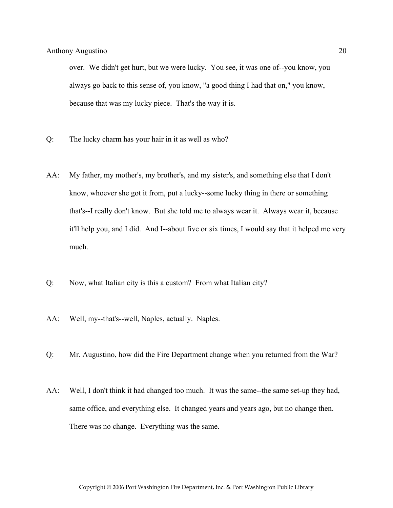over. We didn't get hurt, but we were lucky. You see, it was one of--you know, you always go back to this sense of, you know, "a good thing I had that on," you know, because that was my lucky piece. That's the way it is.

- Q: The lucky charm has your hair in it as well as who?
- AA: My father, my mother's, my brother's, and my sister's, and something else that I don't know, whoever she got it from, put a lucky--some lucky thing in there or something that's--I really don't know. But she told me to always wear it. Always wear it, because it'll help you, and I did. And I--about five or six times, I would say that it helped me very much.
- Q: Now, what Italian city is this a custom? From what Italian city?
- AA: Well, my--that's--well, Naples, actually. Naples.
- Q: Mr. Augustino, how did the Fire Department change when you returned from the War?
- AA: Well, I don't think it had changed too much. It was the same--the same set-up they had, same office, and everything else. It changed years and years ago, but no change then. There was no change. Everything was the same.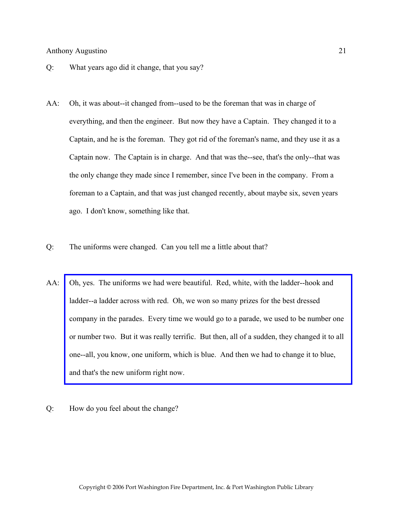- Q: What years ago did it change, that you say?
- AA: Oh, it was about--it changed from--used to be the foreman that was in charge of everything, and then the engineer. But now they have a Captain. They changed it to a Captain, and he is the foreman. They got rid of the foreman's name, and they use it as a Captain now. The Captain is in charge. And that was the--see, that's the only--that was the only change they made since I remember, since I've been in the company. From a foreman to a Captain, and that was just changed recently, about maybe six, seven years ago. I don't know, something like that.
- Q: The uniforms were changed. Can you tell me a little about that?
- AA: Oh, yes. The uniforms we had were beautiful. Red, white, with the ladder--hook and ladder--a ladder across with red. Oh, we won so many prizes for the best dressed [company in the parades. Every time we would go to a parade, we used to be number one](http://www.pwfdhistory.com/trans/augustino_trans/ahlco_parade07.jpg)  or number two. But it was really terrific. But then, all of a sudden, they changed it to all one--all, you know, one uniform, which is blue. And then we had to change it to blue, and that's the new uniform right now.
- Q: How do you feel about the change?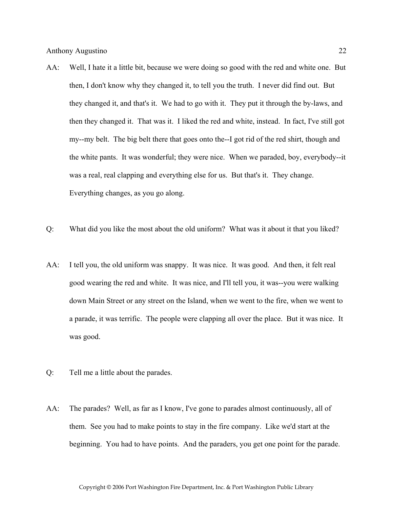- AA: Well, I hate it a little bit, because we were doing so good with the red and white one. But then, I don't know why they changed it, to tell you the truth. I never did find out. But they changed it, and that's it. We had to go with it. They put it through the by-laws, and then they changed it. That was it. I liked the red and white, instead. In fact, I've still got my--my belt. The big belt there that goes onto the--I got rid of the red shirt, though and the white pants. It was wonderful; they were nice. When we paraded, boy, everybody--it was a real, real clapping and everything else for us. But that's it. They change. Everything changes, as you go along.
- Q: What did you like the most about the old uniform? What was it about it that you liked?
- AA: I tell you, the old uniform was snappy. It was nice. It was good. And then, it felt real good wearing the red and white. It was nice, and I'll tell you, it was--you were walking down Main Street or any street on the Island, when we went to the fire, when we went to a parade, it was terrific. The people were clapping all over the place. But it was nice. It was good.
- Q: Tell me a little about the parades.
- AA: The parades? Well, as far as I know, I've gone to parades almost continuously, all of them. See you had to make points to stay in the fire company. Like we'd start at the beginning. You had to have points. And the paraders, you get one point for the parade.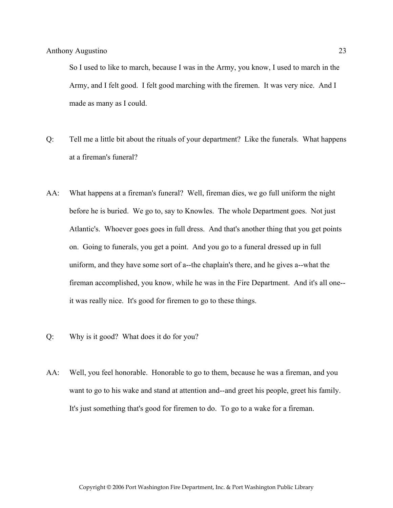So I used to like to march, because I was in the Army, you know, I used to march in the Army, and I felt good. I felt good marching with the firemen. It was very nice. And I made as many as I could.

- Q: Tell me a little bit about the rituals of your department? Like the funerals. What happens at a fireman's funeral?
- AA: What happens at a fireman's funeral? Well, fireman dies, we go full uniform the night before he is buried. We go to, say to Knowles. The whole Department goes. Not just Atlantic's. Whoever goes goes in full dress. And that's another thing that you get points on. Going to funerals, you get a point. And you go to a funeral dressed up in full uniform, and they have some sort of a--the chaplain's there, and he gives a--what the fireman accomplished, you know, while he was in the Fire Department. And it's all one- it was really nice. It's good for firemen to go to these things.
- Q: Why is it good? What does it do for you?
- AA: Well, you feel honorable. Honorable to go to them, because he was a fireman, and you want to go to his wake and stand at attention and--and greet his people, greet his family. It's just something that's good for firemen to do. To go to a wake for a fireman.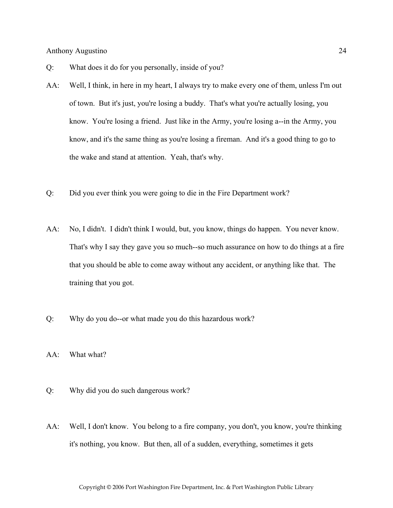- Q: What does it do for you personally, inside of you?
- AA: Well, I think, in here in my heart, I always try to make every one of them, unless I'm out of town. But it's just, you're losing a buddy. That's what you're actually losing, you know. You're losing a friend. Just like in the Army, you're losing a--in the Army, you know, and it's the same thing as you're losing a fireman. And it's a good thing to go to the wake and stand at attention. Yeah, that's why.
- Q: Did you ever think you were going to die in the Fire Department work?
- AA: No, I didn't. I didn't think I would, but, you know, things do happen. You never know. That's why I say they gave you so much--so much assurance on how to do things at a fire that you should be able to come away without any accident, or anything like that. The training that you got.
- Q: Why do you do--or what made you do this hazardous work?
- AA: What what?
- Q: Why did you do such dangerous work?
- AA: Well, I don't know. You belong to a fire company, you don't, you know, you're thinking it's nothing, you know. But then, all of a sudden, everything, sometimes it gets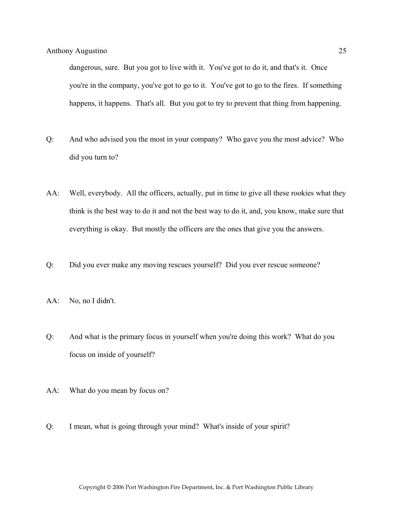dangerous, sure. But you got to live with it. You've got to do it, and that's it. Once you're in the company, you've got to go to it. You've got to go to the fires. If something happens, it happens. That's all. But you got to try to prevent that thing from happening.

- Q: And who advised you the most in your company? Who gave you the most advice? Who did you turn to?
- AA: Well, everybody. All the officers, actually, put in time to give all these rookies what they think is the best way to do it and not the best way to do it, and, you know, make sure that everything is okay. But mostly the officers are the ones that give you the answers.
- Q: Did you ever make any moving rescues yourself? Did you ever rescue someone?
- AA: No, no I didn't.
- Q: And what is the primary focus in yourself when you're doing this work? What do you focus on inside of yourself?
- AA: What do you mean by focus on?
- Q: I mean, what is going through your mind? What's inside of your spirit?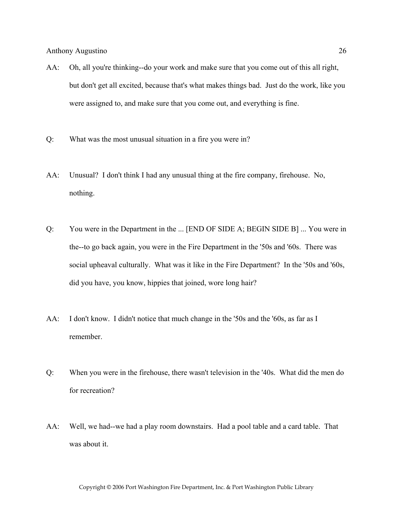- AA: Oh, all you're thinking--do your work and make sure that you come out of this all right, but don't get all excited, because that's what makes things bad. Just do the work, like you were assigned to, and make sure that you come out, and everything is fine.
- Q: What was the most unusual situation in a fire you were in?
- AA: Unusual? I don't think I had any unusual thing at the fire company, firehouse. No, nothing.
- Q: You were in the Department in the ... [END OF SIDE A; BEGIN SIDE B] ... You were in the--to go back again, you were in the Fire Department in the '50s and '60s. There was social upheaval culturally. What was it like in the Fire Department? In the '50s and '60s, did you have, you know, hippies that joined, wore long hair?
- AA: I don't know. I didn't notice that much change in the '50s and the '60s, as far as I remember.
- Q: When you were in the firehouse, there wasn't television in the '40s. What did the men do for recreation?
- AA: Well, we had--we had a play room downstairs. Had a pool table and a card table. That was about it.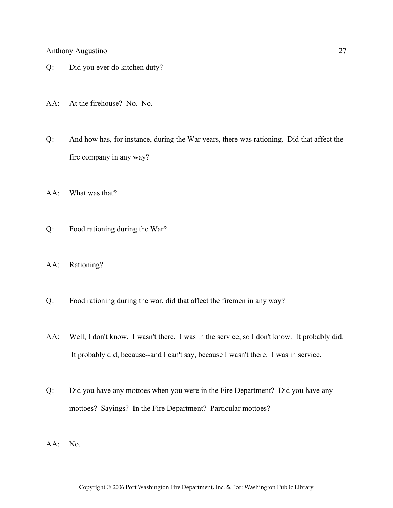- Q: Did you ever do kitchen duty?
- AA: At the firehouse? No. No.
- Q: And how has, for instance, during the War years, there was rationing. Did that affect the fire company in any way?
- AA: What was that?
- Q: Food rationing during the War?
- AA: Rationing?
- Q: Food rationing during the war, did that affect the firemen in any way?
- AA: Well, I don't know. I wasn't there. I was in the service, so I don't know. It probably did. It probably did, because--and I can't say, because I wasn't there. I was in service.
- Q: Did you have any mottoes when you were in the Fire Department? Did you have any mottoes? Sayings? In the Fire Department? Particular mottoes?
- AA: No.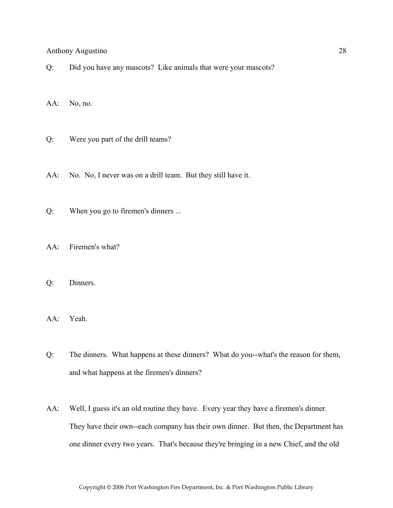Q: Did you have any mascots? Like animals that were your mascots?

AA: No, no.

- Q: Were you part of the drill teams?
- AA: No. No, I never was on a drill team. But they still have it.
- Q: When you go to firemen's dinners ...
- AA: Firemen's what?
- Q: Dinners.
- AA: Yeah.
- Q: The dinners. What happens at these dinners? What do you--what's the reason for them, and what happens at the firemen's dinners?
- AA: Well, I guess it's an old routine they have. Every year they have a firemen's dinner. They have their own--each company has their own dinner. But then, the Department has one dinner every two years. That's because they're bringing in a new Chief, and the old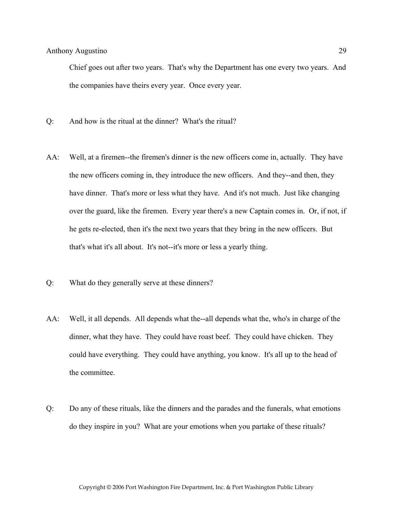Chief goes out after two years. That's why the Department has one every two years. And the companies have theirs every year. Once every year.

- Q: And how is the ritual at the dinner? What's the ritual?
- AA: Well, at a firemen--the firemen's dinner is the new officers come in, actually. They have the new officers coming in, they introduce the new officers. And they--and then, they have dinner. That's more or less what they have. And it's not much. Just like changing over the guard, like the firemen. Every year there's a new Captain comes in. Or, if not, if he gets re-elected, then it's the next two years that they bring in the new officers. But that's what it's all about. It's not--it's more or less a yearly thing.
- Q: What do they generally serve at these dinners?
- AA: Well, it all depends. All depends what the--all depends what the, who's in charge of the dinner, what they have. They could have roast beef. They could have chicken. They could have everything. They could have anything, you know. It's all up to the head of the committee.
- Q: Do any of these rituals, like the dinners and the parades and the funerals, what emotions do they inspire in you? What are your emotions when you partake of these rituals?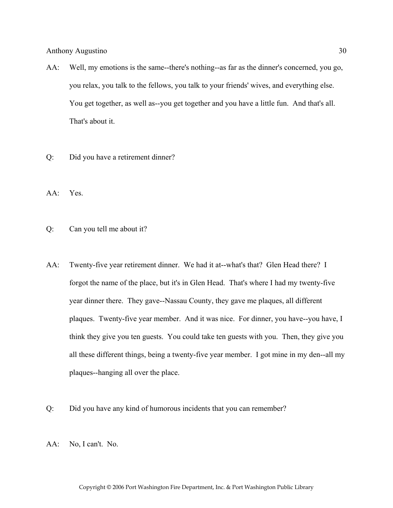- AA: Well, my emotions is the same--there's nothing--as far as the dinner's concerned, you go, you relax, you talk to the fellows, you talk to your friends' wives, and everything else. You get together, as well as--you get together and you have a little fun. And that's all. That's about it.
- Q: Did you have a retirement dinner?
- AA: Yes.
- Q: Can you tell me about it?
- AA: Twenty-five year retirement dinner. We had it at--what's that? Glen Head there? I forgot the name of the place, but it's in Glen Head. That's where I had my twenty-five year dinner there. They gave--Nassau County, they gave me plaques, all different plaques. Twenty-five year member. And it was nice. For dinner, you have--you have, I think they give you ten guests. You could take ten guests with you. Then, they give you all these different things, being a twenty-five year member. I got mine in my den--all my plaques--hanging all over the place.
- Q: Did you have any kind of humorous incidents that you can remember?
- AA: No, I can't. No.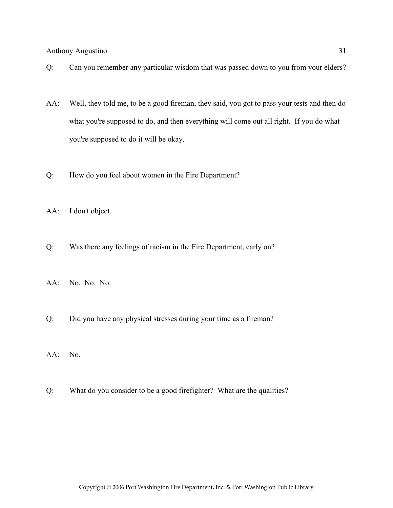- Q: Can you remember any particular wisdom that was passed down to you from your elders?
- AA: Well, they told me, to be a good fireman, they said, you got to pass your tests and then do what you're supposed to do, and then everything will come out all right. If you do what you're supposed to do it will be okay.
- Q: How do you feel about women in the Fire Department?
- AA: I don't object.
- Q: Was there any feelings of racism in the Fire Department, early on?
- AA: No. No. No.
- Q: Did you have any physical stresses during your time as a fireman?
- AA: No.
- Q: What do you consider to be a good firefighter? What are the qualities?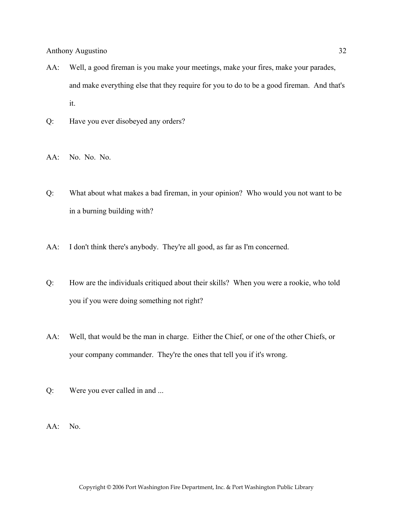- AA: Well, a good fireman is you make your meetings, make your fires, make your parades, and make everything else that they require for you to do to be a good fireman. And that's it.
- Q: Have you ever disobeyed any orders?
- AA: No. No. No.
- Q: What about what makes a bad fireman, in your opinion? Who would you not want to be in a burning building with?
- AA: I don't think there's anybody. They're all good, as far as I'm concerned.
- Q: How are the individuals critiqued about their skills? When you were a rookie, who told you if you were doing something not right?
- AA: Well, that would be the man in charge. Either the Chief, or one of the other Chiefs, or your company commander. They're the ones that tell you if it's wrong.
- Q: Were you ever called in and ...
- AA: No.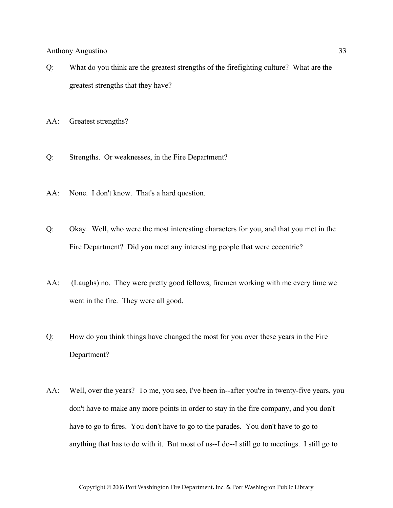- Q: What do you think are the greatest strengths of the firefighting culture? What are the greatest strengths that they have?
- AA: Greatest strengths?
- Q: Strengths. Or weaknesses, in the Fire Department?
- AA: None. I don't know. That's a hard question.
- Q: Okay. Well, who were the most interesting characters for you, and that you met in the Fire Department? Did you meet any interesting people that were eccentric?
- AA: (Laughs) no. They were pretty good fellows, firemen working with me every time we went in the fire. They were all good.
- Q: How do you think things have changed the most for you over these years in the Fire Department?
- AA: Well, over the years? To me, you see, I've been in--after you're in twenty-five years, you don't have to make any more points in order to stay in the fire company, and you don't have to go to fires. You don't have to go to the parades. You don't have to go to anything that has to do with it. But most of us--I do--I still go to meetings. I still go to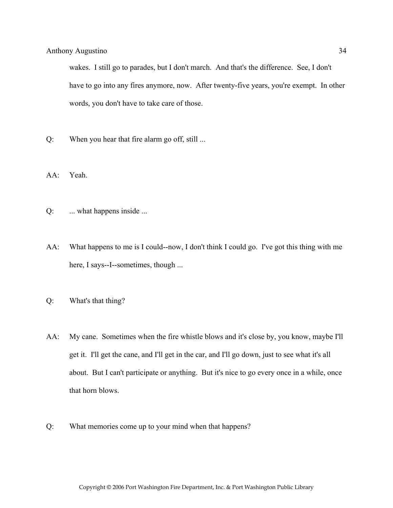wakes. I still go to parades, but I don't march. And that's the difference. See, I don't have to go into any fires anymore, now. After twenty-five years, you're exempt. In other words, you don't have to take care of those.

Q: When you hear that fire alarm go off, still ...

AA: Yeah.

- Q: ... what happens inside ...
- AA: What happens to me is I could--now, I don't think I could go. I've got this thing with me here, I says--I--sometimes, though ...
- Q: What's that thing?
- AA: My cane. Sometimes when the fire whistle blows and it's close by, you know, maybe I'll get it. I'll get the cane, and I'll get in the car, and I'll go down, just to see what it's all about. But I can't participate or anything. But it's nice to go every once in a while, once that horn blows.
- Q: What memories come up to your mind when that happens?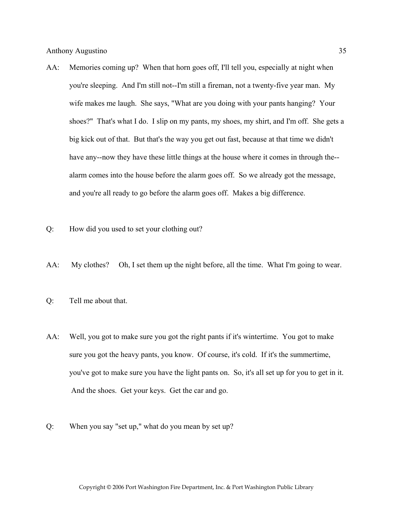- AA: Memories coming up? When that horn goes off, I'll tell you, especially at night when you're sleeping. And I'm still not--I'm still a fireman, not a twenty-five year man. My wife makes me laugh. She says, "What are you doing with your pants hanging? Your shoes?" That's what I do. I slip on my pants, my shoes, my shirt, and I'm off. She gets a big kick out of that. But that's the way you get out fast, because at that time we didn't have any--now they have these little things at the house where it comes in through the- alarm comes into the house before the alarm goes off. So we already got the message, and you're all ready to go before the alarm goes off. Makes a big difference.
- Q: How did you used to set your clothing out?
- AA: My clothes? Oh, I set them up the night before, all the time. What I'm going to wear.
- Q: Tell me about that.
- AA: Well, you got to make sure you got the right pants if it's wintertime. You got to make sure you got the heavy pants, you know. Of course, it's cold. If it's the summertime, you've got to make sure you have the light pants on. So, it's all set up for you to get in it. And the shoes. Get your keys. Get the car and go.
- Q: When you say "set up," what do you mean by set up?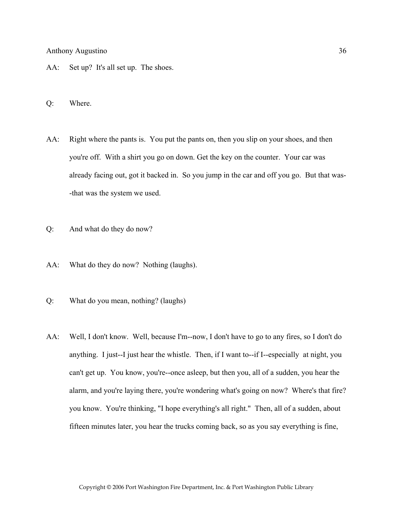- AA: Set up? It's all set up. The shoes.
- Q: Where.
- AA: Right where the pants is. You put the pants on, then you slip on your shoes, and then you're off. With a shirt you go on down. Get the key on the counter. Your car was already facing out, got it backed in. So you jump in the car and off you go. But that was- -that was the system we used.
- Q: And what do they do now?
- AA: What do they do now? Nothing (laughs).
- Q: What do you mean, nothing? (laughs)
- AA: Well, I don't know. Well, because I'm--now, I don't have to go to any fires, so I don't do anything. I just--I just hear the whistle. Then, if I want to--if I--especially at night, you can't get up. You know, you're--once asleep, but then you, all of a sudden, you hear the alarm, and you're laying there, you're wondering what's going on now? Where's that fire? you know. You're thinking, "I hope everything's all right." Then, all of a sudden, about fifteen minutes later, you hear the trucks coming back, so as you say everything is fine,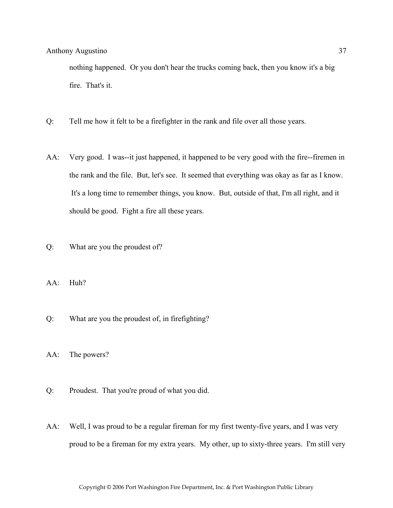nothing happened. Or you don't hear the trucks coming back, then you know it's a big fire. That's it.

- Q: Tell me how it felt to be a firefighter in the rank and file over all those years.
- AA: Very good. I was--it just happened, it happened to be very good with the fire--firemen in the rank and the file. But, let's see. It seemed that everything was okay as far as I know. It's a long time to remember things, you know. But, outside of that, I'm all right, and it should be good. Fight a fire all these years.
- Q: What are you the proudest of?
- AA: Huh?
- Q: What are you the proudest of, in firefighting?
- AA: The powers?
- Q: Proudest. That you're proud of what you did.
- AA: Well, I was proud to be a regular fireman for my first twenty-five years, and I was very proud to be a fireman for my extra years. My other, up to sixty-three years. I'm still very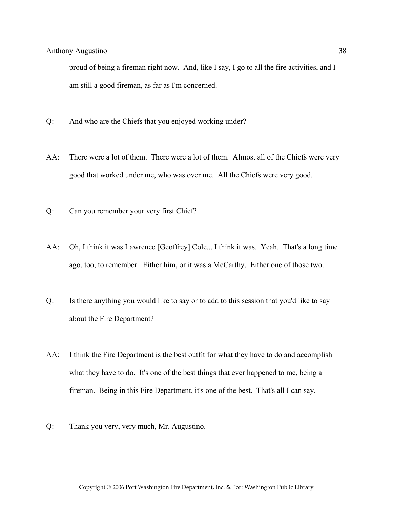proud of being a fireman right now. And, like I say, I go to all the fire activities, and I am still a good fireman, as far as I'm concerned.

- Q: And who are the Chiefs that you enjoyed working under?
- AA: There were a lot of them. There were a lot of them. Almost all of the Chiefs were very good that worked under me, who was over me. All the Chiefs were very good.
- Q: Can you remember your very first Chief?
- AA: Oh, I think it was Lawrence [Geoffrey] Cole... I think it was. Yeah. That's a long time ago, too, to remember. Either him, or it was a McCarthy. Either one of those two.
- Q: Is there anything you would like to say or to add to this session that you'd like to say about the Fire Department?
- AA: I think the Fire Department is the best outfit for what they have to do and accomplish what they have to do. It's one of the best things that ever happened to me, being a fireman. Being in this Fire Department, it's one of the best. That's all I can say.
- Q: Thank you very, very much, Mr. Augustino.